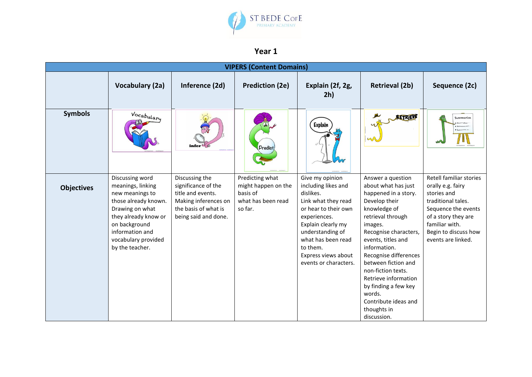

## **Year 1**

| <b>VIPERS (Content Domains)</b> |                                                                                                                                                                                                          |                                                                                                                                    |                                                                                     |                                                                                                                                                                                                                                                |                                                                                                                                                                                                                                                                                                                                                                                        |                                                                                                                                                                                                 |  |  |  |  |
|---------------------------------|----------------------------------------------------------------------------------------------------------------------------------------------------------------------------------------------------------|------------------------------------------------------------------------------------------------------------------------------------|-------------------------------------------------------------------------------------|------------------------------------------------------------------------------------------------------------------------------------------------------------------------------------------------------------------------------------------------|----------------------------------------------------------------------------------------------------------------------------------------------------------------------------------------------------------------------------------------------------------------------------------------------------------------------------------------------------------------------------------------|-------------------------------------------------------------------------------------------------------------------------------------------------------------------------------------------------|--|--|--|--|
|                                 | <b>Vocabulary (2a)</b>                                                                                                                                                                                   | Inference (2d)                                                                                                                     | <b>Prediction (2e)</b>                                                              | Explain (2f, 2g,<br>2h)                                                                                                                                                                                                                        | <b>Retrieval (2b)</b>                                                                                                                                                                                                                                                                                                                                                                  | Sequence (2c)                                                                                                                                                                                   |  |  |  |  |
| <b>Symbols</b>                  | Vocabulary                                                                                                                                                                                               | infer <sup>es</sup>                                                                                                                | <b>Predict</b>                                                                      | <b>Explain</b>                                                                                                                                                                                                                                 | <b>RETRIEW</b><br>w                                                                                                                                                                                                                                                                                                                                                                    | Summarise                                                                                                                                                                                       |  |  |  |  |
| <b>Objectives</b>               | Discussing word<br>meanings, linking<br>new meanings to<br>those already known.<br>Drawing on what<br>they already know or<br>on background<br>information and<br>vocabulary provided<br>by the teacher. | Discussing the<br>significance of the<br>title and events.<br>Making inferences on<br>the basis of what is<br>being said and done. | Predicting what<br>might happen on the<br>basis of<br>what has been read<br>so far. | Give my opinion<br>including likes and<br>dislikes.<br>Link what they read<br>or hear to their own<br>experiences.<br>Explain clearly my<br>understanding of<br>what has been read<br>to them.<br>Express views about<br>events or characters. | Answer a question<br>about what has just<br>happened in a story.<br>Develop their<br>knowledge of<br>retrieval through<br>images.<br>Recognise characters,<br>events, titles and<br>information.<br>Recognise differences<br>between fiction and<br>non-fiction texts.<br>Retrieve information<br>by finding a few key<br>words.<br>Contribute ideas and<br>thoughts in<br>discussion. | Retell familiar stories<br>orally e.g. fairy<br>stories and<br>traditional tales.<br>Sequence the events<br>of a story they are<br>familiar with.<br>Begin to discuss how<br>events are linked. |  |  |  |  |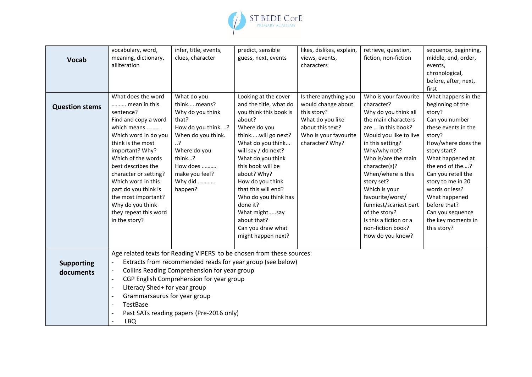

| <b>Vocab</b>                   | vocabulary, word,<br>meaning, dictionary,<br>alliteration                                                                                                                                                                                                                                                                                                                                                                                                                                                                            | infer, title, events,<br>clues, character                                                                                                                                                        | predict, sensible<br>guess, next, events                                                                                                                                                                                                                                                                                                                                                | likes, dislikes, explain,<br>views, events,<br>characters                                                                                      | retrieve, question,<br>fiction, non-fiction                                                                                                                                                                                                                                                                                                                                                           | sequence, beginning,<br>middle, end, order,<br>events,<br>chronological,<br>before, after, next,<br>first                                                                                                                                                                                                                                |  |  |  |
|--------------------------------|--------------------------------------------------------------------------------------------------------------------------------------------------------------------------------------------------------------------------------------------------------------------------------------------------------------------------------------------------------------------------------------------------------------------------------------------------------------------------------------------------------------------------------------|--------------------------------------------------------------------------------------------------------------------------------------------------------------------------------------------------|-----------------------------------------------------------------------------------------------------------------------------------------------------------------------------------------------------------------------------------------------------------------------------------------------------------------------------------------------------------------------------------------|------------------------------------------------------------------------------------------------------------------------------------------------|-------------------------------------------------------------------------------------------------------------------------------------------------------------------------------------------------------------------------------------------------------------------------------------------------------------------------------------------------------------------------------------------------------|------------------------------------------------------------------------------------------------------------------------------------------------------------------------------------------------------------------------------------------------------------------------------------------------------------------------------------------|--|--|--|
| <b>Question stems</b>          | What does the word<br>mean in this<br>sentence?<br>Find and copy a word<br>which means<br>Which word in do you<br>think is the most<br>important? Why?<br>Which of the words<br>best describes the<br>character or setting?<br>Which word in this<br>part do you think is<br>the most important?<br>Why do you think<br>they repeat this word<br>in the story?                                                                                                                                                                       | What do you<br>thinkmeans?<br>Why do you think<br>that?<br>How do you think. ?<br>When do you think.<br>$\cdot$ .?<br>Where do you<br>think?<br>How does<br>make you feel?<br>Why did<br>happen? | Looking at the cover<br>and the title, what do<br>you think this book is<br>about?<br>Where do you<br>thinkwill go next?<br>What do you think<br>will say / do next?<br>What do you think<br>this book will be<br>about? Why?<br>How do you think<br>that this will end?<br>Who do you think has<br>done it?<br>What mightsay<br>about that?<br>Can you draw what<br>might happen next? | Is there anything you<br>would change about<br>this story?<br>What do you like<br>about this text?<br>Who is your favourite<br>character? Why? | Who is your favourite<br>character?<br>Why do you think all<br>the main characters<br>are  in this book?<br>Would you like to live<br>in this setting?<br>Why/why not?<br>Who is/are the main<br>character(s)?<br>When/where is this<br>story set?<br>Which is your<br>favourite/worst/<br>funniest/scariest part<br>of the story?<br>Is this a fiction or a<br>non-fiction book?<br>How do you know? | What happens in the<br>beginning of the<br>story?<br>Can you number<br>these events in the<br>story?<br>How/where does the<br>story start?<br>What happened at<br>the end of the?<br>Can you retell the<br>story to me in 20<br>words or less?<br>What happened<br>before that?<br>Can you sequence<br>the key moments in<br>this story? |  |  |  |
| <b>Supporting</b><br>documents | Age related texts for Reading VIPERS to be chosen from these sources:<br>Extracts from recommended reads for year group (see below)<br>$\overline{\phantom{a}}$<br>Collins Reading Comprehension for year group<br>$\overline{\phantom{m}}$<br>CGP English Comprehension for year group<br>$\overline{a}$<br>Literacy Shed+ for year group<br>$\overline{\phantom{a}}$<br>Grammarsaurus for year group<br>$\overline{\phantom{a}}$<br>TestBase<br>$\overline{\phantom{a}}$<br>Past SATs reading papers (Pre-2016 only)<br><b>LBQ</b> |                                                                                                                                                                                                  |                                                                                                                                                                                                                                                                                                                                                                                         |                                                                                                                                                |                                                                                                                                                                                                                                                                                                                                                                                                       |                                                                                                                                                                                                                                                                                                                                          |  |  |  |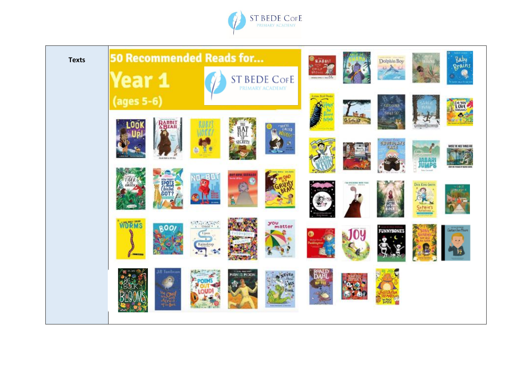